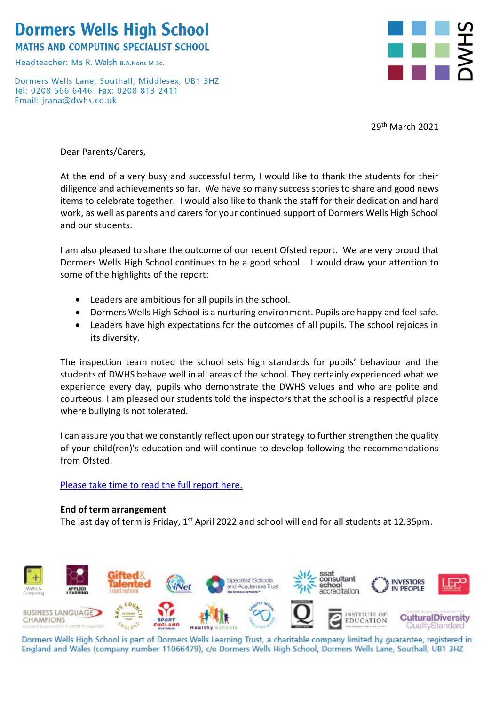# **Dormers Wells High School**

**MATHS AND COMPUTING SPECIALIST SCHOOL** 

Headteacher: Ms R, Walsh B A Hons M Sc

Dormers Wells Lane, Southall, Middlesex, UB1 3HZ Tel: 0208 566 6446 Fax: 0208 813 2411 Email: jrana@dwhs.co.uk



29<sup>th</sup> March 2021

Dear Parents/Carers,

At the end of a very busy and successful term, I would like to thank the students for their diligence and achievements so far. We have so many success stories to share and good news items to celebrate together. I would also like to thank the staff for their dedication and hard work, as well as parents and carers for your continued support of Dormers Wells High School and our students.

I am also pleased to share the outcome of our recent Ofsted report. We are very proud that Dormers Wells High School continues to be a good school. I would draw your attention to some of the highlights of the report:

- Leaders are ambitious for all pupils in the school.
- Dormers Wells High School is a nurturing environment. Pupils are happy and feel safe.
- Leaders have high expectations for the outcomes of all pupils. The school rejoices in its diversity.

The inspection team noted the school sets high standards for pupils' behaviour and the students of DWHS behave well in all areas of the school. They certainly experienced what we experience every day, pupils who demonstrate the DWHS values and who are polite and courteous. I am pleased our students told the inspectors that the school is a respectful place where bullying is not tolerated.

I can assure you that we constantly reflect upon our strategy to further strengthen the quality of your child(ren)'s education and will continue to develop following the recommendations from Ofsted.

## [Please take time to read the full report here.](https://www.dwhs.co.uk/ckfinder/userfiles/files/DWHS%20Ofsted%20Report.PDF)

## **End of term arrangement**

The last day of term is Friday,  $1^{st}$  April 2022 and school will end for all students at 12.35pm.



Dormers Wells High School is part of Dormers Wells Learning Trust, a charitable company limited by guarantee, registered in England and Wales (company number 11066479), c/o Dormers Wells High School, Dormers Wells Lane, Southall, UB1 3HZ